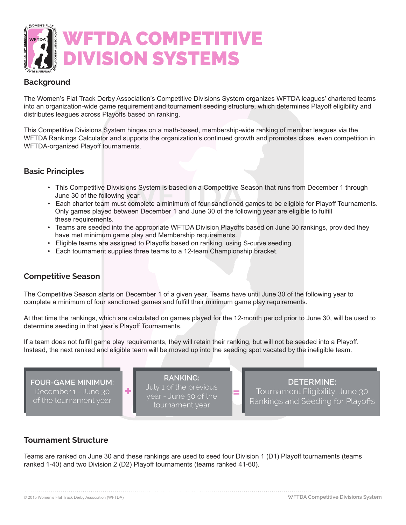

# **Background**

The Women's Flat Track Derby Association's Competitive Divisions System organizes WFTDA leagues' chartered teams into an organization-wide game requirement and tournament seeding structure, which determines Playoff eligibility and distributes leagues across Playoffs based on ranking.

This Competitive Divisions System hinges on a math-based, membership-wide ranking of member leagues via the WFTDA Rankings Calculator and supports the organization's continued growth and promotes close, even competition in WFTDA-organized Playoff tournaments.

#### **Basic Principles**

- This Competitive Divxisions System is based on a Competitive Season that runs from December 1 through June 30 of the following year.
- Each charter team must complete a minimum of four sanctioned games to be eligible for Playoff Tournaments. Only games played between December 1 and June 30 of the following year are eligible to fulfill these requirements.
- Teams are seeded into the appropriate WFTDA Division Playoffs based on June 30 rankings, provided they have met minimum game play and Membership requirements.
- Eligible teams are assigned to Playoffs based on ranking, using S-curve seeding.
- Each tournament supplies three teams to a 12-team Championship bracket.

#### **Competitive Season**

The Competitive Season starts on December 1 of a given year. Teams have until June 30 of the following year to complete a minimum of four sanctioned games and fulfill their minimum game play requirements.

At that time the rankings, which are calculated on games played for the 12-month period prior to June 30, will be used to determine seeding in that year's Playoff Tournaments.

If a team does not fulfill game play requirements, they will retain their ranking, but will not be seeded into a Playoff. Instead, the next ranked and eligible team will be moved up into the seeding spot vacated by the ineligible team.



## **Tournament Structure**

Teams are ranked on June 30 and these rankings are used to seed four Division 1 (D1) Playoff tournaments (teams ranked 1-40) and two Division 2 (D2) Playoff tournaments (teams ranked 41-60).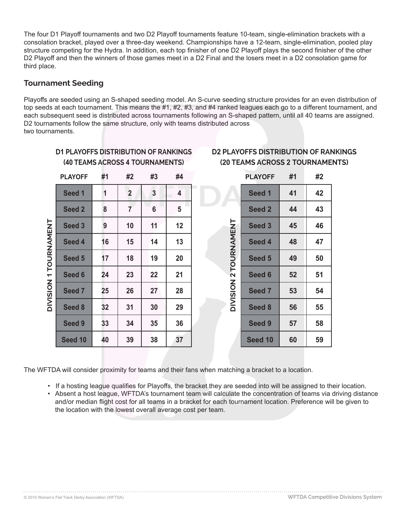The four D1 Playoff tournaments and two D2 Playoff tournaments feature 10-team, single-elimination brackets with a consolation bracket, played over a three-day weekend. Championships have a 12-team, single-elimination, pooled play structure competing for the Hydra. In addition, each top finisher of one D2 Playoff plays the second finisher of the other D2 Playoff and then the winners of those games meet in a D2 Final and the losers meet in a D2 consolation game for third place.

## **Tournament Seeding**

Playoffs are seeded using an S-shaped seeding model. An S-curve seeding structure provides for an even distribution of top seeds at each tournament. This means the #1, #2, #3, and #4 ranked leagues each go to a different tournament, and each subsequent seed is distributed across tournaments following an S-shaped pattern, until all 40 teams are assigned. D2 tournaments follow the same structure, only with teams distributed across two tournaments.

|                       | <b>PLAYOFF</b>    | #1 | #2             | #3                      | #4 |  |
|-----------------------|-------------------|----|----------------|-------------------------|----|--|
|                       | Seed 1            | 1  | $\overline{2}$ | $\overline{\mathbf{3}}$ | 4  |  |
|                       | Seed <sub>2</sub> | 8  | $\overline{7}$ | 6                       | 5  |  |
|                       | Seed 3            | 9  | 10             | 11                      | 12 |  |
|                       | Seed 4            | 16 | 15             | 14                      | 13 |  |
| DIVISION 1 TOURNAMENT | Seed 5            | 17 | 18             | 19                      | 20 |  |
|                       | Seed 6            | 24 | 23             | 22                      | 21 |  |
|                       | Seed 7            | 25 | 26             | 27                      | 28 |  |
|                       | Seed 8            | 32 | 31             | 30                      | 29 |  |
|                       | Seed 9            | 33 | 34             | 35                      | 36 |  |
|                       | Seed 10           | 40 | 39             | 38                      | 37 |  |

## **D1 PLAYOFFS DISTRIBUTION OF RANKINGS (40 TEAMS ACROSS 4 TOURNAMENTS)**

## **D2 PLAYOFFS DISTRIBUTION OF RANKINGS (20 TEAMS ACROSS 2 TOURNAMENTS)**

|                       | <b>PLAYOFF</b>    | #1 | #2 |
|-----------------------|-------------------|----|----|
|                       | Seed 1            | 41 | 42 |
|                       | Seed 2            | 44 | 43 |
|                       | Seed <sub>3</sub> | 45 | 46 |
|                       | Seed 4            | 48 | 47 |
| DIVISION 2 TOURNAMENT | Seed 5            | 49 | 50 |
|                       | Seed 6            | 52 | 51 |
|                       | Seed 7            | 53 | 54 |
|                       | Seed 8            | 56 | 55 |
|                       | Seed 9            | 57 | 58 |
|                       | Seed 10           | 60 | 59 |

The WFTDA will consider proximity for teams and their fans when matching a bracket to a location.

- If a hosting league qualifies for Playoffs, the bracket they are seeded into will be assigned to their location.
- Absent a host league, WFTDA's tournament team will calculate the concentration of teams via driving distance and/or median flight cost for all teams in a bracket for each tournament location. Preference will be given to the location with the lowest overall average cost per team.